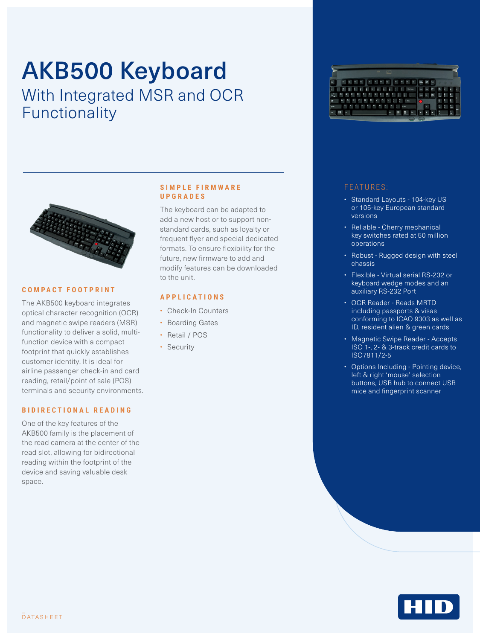# AKB500 Keyboard With Integrated MSR and OCR





Functionality

#### **COMPACT FOOTPRINT**

The AKB500 keyboard integrates optical character recognition (OCR) and magnetic swipe readers (MSR) functionality to deliver a solid, multifunction device with a compact footprint that quickly establishes customer identity. It is ideal for airline passenger check-in and card reading, retail/point of sale (POS) terminals and security environments.

#### **BIDIRECTIONAL READING**

One of the key features of the AKB500 family is the placement of the read camera at the center of the read slot, allowing for bidirectional reading within the footprint of the device and saving valuable desk space.

#### **S I M P L E F I R M W A R E UPGRADES**

The keyboard can be adapted to add a new host or to support nonstandard cards, such as loyalty or frequent flyer and special dedicated formats. To ensure flexibility for the future, new firmware to add and modify features can be downloaded to the unit.

### **APPLICATIONS**

- Check-In Counters
- Boarding Gates
- Retail / POS
- Security

#### FEATURES:

- Standard Layouts 104-key US or 105-key European standard versions
- Reliable Cherry mechanical key switches rated at 50 million operations
- Robust Rugged design with steel chassis
- Flexible Virtual serial RS-232 or keyboard wedge modes and an auxiliary RS-232 Port
- OCR Reader Reads MRTD including passports & visas conforming to ICAO 9303 as well as ID, resident alien & green cards
- Magnetic Swipe Reader Accepts ISO 1-, 2- & 3-track credit cards to ISO7811/2-5
- Options Including Pointing device, left & right 'mouse' selection buttons, USB hub to connect USB mice and fingerprint scanner